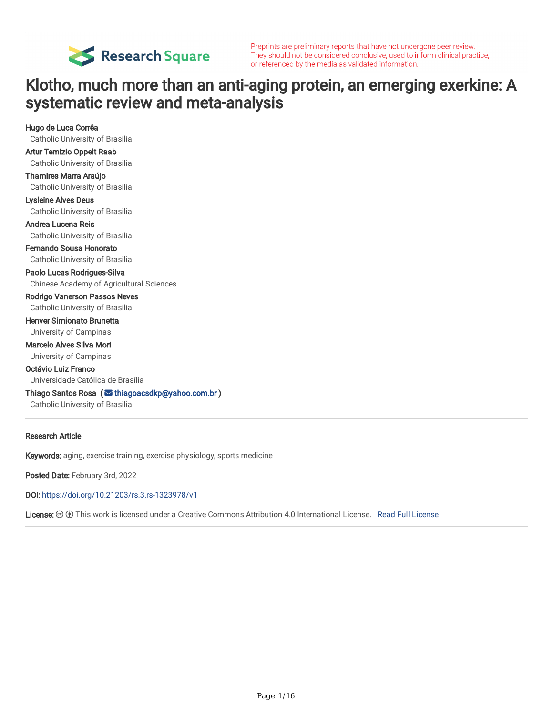

Preprints are preliminary reports that have not undergone peer review. They should not be considered conclusive, used to inform clinical practice, or referenced by the media as validated information.

# Klotho, much more than an anti-aging protein, an emerging exerkine: A systematic review and meta-analysis

Hugo de Luca Corrêa Catholic University of Brasilia Artur Temizio Oppelt Raab Catholic University of Brasilia Thamires Marra Araújo Catholic University of Brasilia Lysleine Alves Deus Catholic University of Brasilia Andrea Lucena Reis Catholic University of Brasilia Fernando Sousa Honorato Catholic University of Brasilia Paolo Lucas Rodrigues-Silva Chinese Academy of Agricultural Sciences Rodrigo Vanerson Passos Neves Catholic University of Brasilia Henver Simionato Brunetta University of Campinas Marcelo Alves Silva Mori University of Campinas Octávio Luiz Franco Universidade Católica de Brasília Thiago Santos Rosa ( $\leq$  [thiagoacsdkp@yahoo.com.br](mailto:thiagoacsdkp@yahoo.com.br)) Catholic University of Brasilia

#### Research Article

Keywords: aging, exercise training, exercise physiology, sports medicine

Posted Date: February 3rd, 2022

DOI: <https://doi.org/10.21203/rs.3.rs-1323978/v1>

License: This work is licensed under a Creative Commons Attribution 4.0 International License. Read Full [License](https://creativecommons.org/licenses/by/4.0/)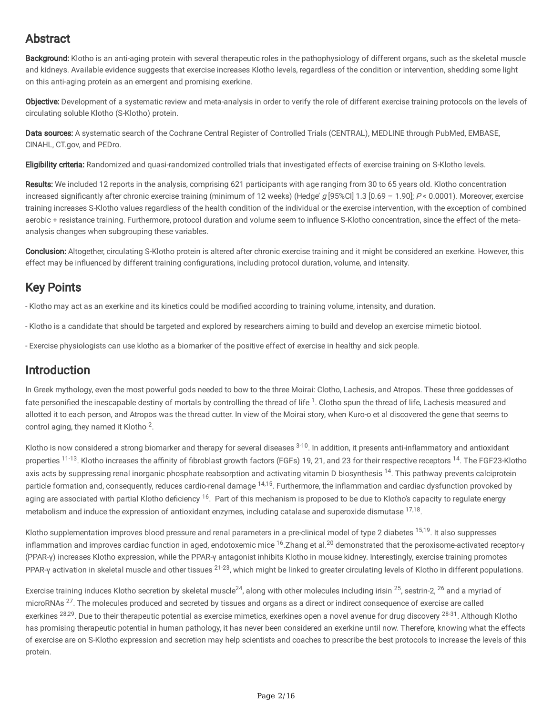# Abstract

Background: Klotho is an anti-aging protein with several therapeutic roles in the pathophysiology of different organs, such as the skeletal muscle and kidneys. Available evidence suggests that exercise increases Klotho levels, regardless of the condition or intervention, shedding some light on this anti-aging protein as an emergent and promising exerkine.

Objective: Development of a systematic review and meta-analysis in order to verify the role of different exercise training protocols on the levels of circulating soluble Klotho (S-Klotho) protein.

Data sources: A systematic search of the Cochrane Central Register of Controlled Trials (CENTRAL), MEDLINE through PubMed, EMBASE, CINAHL, CT.gov, and PEDro.

Eligibility criteria: Randomized and quasi-randomized controlled trials that investigated effects of exercise training on S-Klotho levels.

Results: We included 12 reports in the analysis, comprising 621 participants with age ranging from 30 to 65 years old. Klotho concentration increased significantly after chronic exercise training (minimum of 12 weeks) (Hedge' g [95%Cl] 1.3 [0.69 - 1.90]; P < 0.0001). Moreover, exercise training increases S-Klotho values regardless of the health condition of the individual or the exercise intervention, with the exception of combined aerobic + resistance training. Furthermore, protocol duration and volume seem to influence S-Klotho concentration, since the effect of the metaanalysis changes when subgrouping these variables.

Conclusion: Altogether, circulating S-Klotho protein is altered after chronic exercise training and it might be considered an exerkine. However, this effect may be influenced by different training configurations, including protocol duration, volume, and intensity.

# Key Points

- Klotho may act as an exerkine and its kinetics could be modified according to training volume, intensity, and duration.

- Klotho is a candidate that should be targeted and explored by researchers aiming to build and develop an exercise mimetic biotool.
- Exercise physiologists can use klotho as a biomarker of the positive effect of exercise in healthy and sick people.

# Introduction

In Greek mythology, even the most powerful gods needed to bow to the three Moirai: Clotho, Lachesis, and Atropos. These three goddesses of fate personified the inescapable destiny of mortals by controlling the thread of life<sup>1</sup>. Clotho spun the thread of life, Lachesis measured and allotted it to each person, and Atropos was the thread cutter. In view of the Moirai story, when Kuro-o et al discovered the gene that seems to control aging, they named it Klotho<sup>2</sup>.

Klotho is now considered a strong biomarker and therapy for several diseases <sup>3-10</sup>. In addition, it presents anti-inflammatory and antioxidant properties <sup>11-13</sup>. Klotho increases the affinity of fibroblast growth factors (FGFs) 19, 21, and 23 for their respective receptors <sup>14</sup>. The FGF23-Klotho axis acts by suppressing renal inorganic phosphate reabsorption and activating vitamin D biosynthesis <sup>14</sup>. This pathway prevents calciprotein particle formation and, consequently, reduces cardio-renal damage <sup>14,15</sup>. Furthermore, the inflammation and cardiac dysfunction provoked by aging are associated with partial Klotho deficiency <sup>16</sup>. Part of this mechanism is proposed to be due to Klotho's capacity to regulate energy metabolism and induce the expression of antioxidant enzymes, including catalase and superoxide dismutase <sup>17,18</sup>.

Klotho supplementation improves blood pressure and renal parameters in a pre-clinical model of type 2 diabetes <sup>15,19</sup>. It also suppresses inflammation and improves cardiac function in aged, endotoxemic mice  $16.2$ hang et al.<sup>20</sup> demonstrated that the peroxisome-activated receptor-γ (PPAR-γ) increases Klotho expression, while the PPAR-γ antagonist inhibits Klotho in mouse kidney. Interestingly, exercise training promotes PPAR-γ activation in skeletal muscle and other tissues <sup>21-23</sup>, which might be linked to greater circulating levels of Klotho in different populations.

Exercise training induces Klotho secretion by skeletal muscle<sup>24</sup>, along with other molecules including irisin <sup>25</sup>, sestrin-2, <sup>26</sup> and a myriad of microRNAs <sup>27</sup>. The molecules produced and secreted by tissues and organs as a direct or indirect consequence of exercise are called exerkines <sup>28,29</sup>. Due to their therapeutic potential as exercise mimetics, exerkines open a novel avenue for drug discovery <sup>28-31</sup>. Although Klotho has promising therapeutic potential in human pathology, it has never been considered an exerkine until now. Therefore, knowing what the effects of exercise are on S-Klotho expression and secretion may help scientists and coaches to prescribe the best protocols to increase the levels of this protein.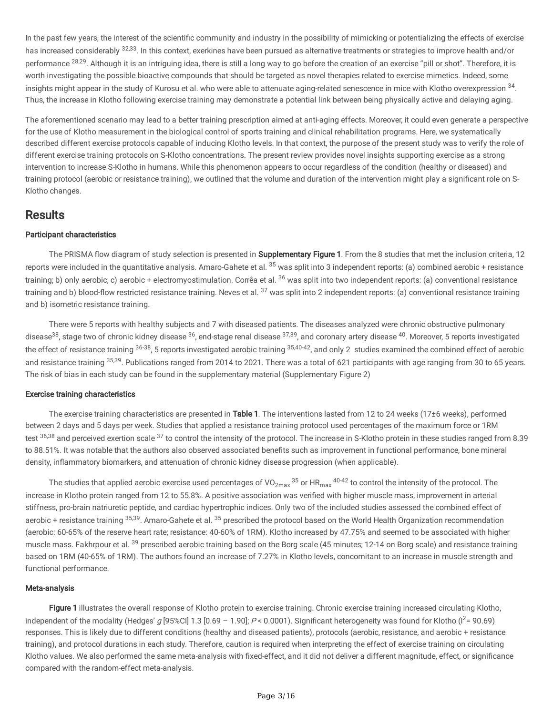In the past few years, the interest of the scientific community and industry in the possibility of mimicking or potentializing the effects of exercise has increased considerably <sup>32,33</sup>. In this context, exerkines have been pursued as alternative treatments or strategies to improve health and/or performance <sup>28,29</sup>. Although it is an intriguing idea, there is still a long way to go before the creation of an exercise "pill or shot". Therefore, it is worth investigating the possible bioactive compounds that should be targeted as novel therapies related to exercise mimetics. Indeed, some insights might appear in the study of Kurosu et al. who were able to attenuate aging-related senescence in mice with Klotho overexpression  $34$ . Thus, the increase in Klotho following exercise training may demonstrate a potential link between being physically active and delaying aging.

The aforementioned scenario may lead to a better training prescription aimed at anti-aging effects. Moreover, it could even generate a perspective for the use of Klotho measurement in the biological control of sports training and clinical rehabilitation programs. Here, we systematically described different exercise protocols capable of inducing Klotho levels. In that context, the purpose of the present study was to verify the role of different exercise training protocols on S-Klotho concentrations. The present review provides novel insights supporting exercise as a strong intervention to increase S-Klotho in humans. While this phenomenon appears to occur regardless of the condition (healthy or diseased) and training protocol (aerobic or resistance training), we outlined that the volume and duration of the intervention might play a significant role on S-Klotho changes.

## Results

#### Participant characteristics

The PRISMA flow diagram of study selection is presented in Supplementary Figure 1. From the 8 studies that met the inclusion criteria, 12 reports were included in the quantitative analysis. Amaro-Gahete et al. <sup>35</sup> was split into 3 independent reports: (a) combined aerobic + resistance training; b) only aerobic; c) aerobic + electromyostimulation. Corrêa et al. <sup>36</sup> was split into two independent reports: (a) conventional resistance training and b) blood-flow restricted resistance training. Neves et al. <sup>37</sup> was split into 2 independent reports: (a) conventional resistance training and b) isometric resistance training.

There were 5 reports with healthy subjects and 7 with diseased patients. The diseases analyzed were chronic obstructive pulmonary disease $^{38}$ , stage two of chronic kidney disease  $^{36}$ , end-stage renal disease  $^{37,39}$ , and coronary artery disease  $^{40}$ . Moreover, 5 reports investigated the effect of resistance training  $^{36\text{-}38}$ , 5 reports investigated aerobic training  $^{35,40\text{-}42}$ , and only 2 studies examined the combined effect of aerobic and resistance training <sup>35,39</sup>. Publications ranged from 2014 to 2021. There was a total of 621 participants with age ranging from 30 to 65 years. The risk of bias in each study can be found in the supplementary material (Supplementary Figure 2)

### Exercise training characteristics

The exercise training characteristics are presented in Table 1. The interventions lasted from 12 to 24 weeks (17±6 weeks), performed between 2 days and 5 days per week. Studies that applied a resistance training protocol used percentages of the maximum force or 1RM test <sup>36,38</sup> and perceived exertion scale <sup>37</sup> to control the intensity of the protocol. The increase in S-Klotho protein in these studies ranged from 8.39 to 88.51%. It was notable that the authors also observed associated benefits such as improvement in functional performance, bone mineral density, inflammatory biomarkers, and attenuation of chronic kidney disease progression (when applicable).

The studies that applied aerobic exercise used percentages of VO $_{2\max}$ 35 or HR $_{\max}$ 40-42 to control the intensity of the protocol. The increase in Klotho protein ranged from 12 to 55.8%. A positive association was verified with higher muscle mass, improvement in arterial stiffness, pro-brain natriuretic peptide, and cardiac hypertrophic indices. Only two of the included studies assessed the combined effect of aerobic + resistance training <sup>35,39</sup>. Amaro-Gahete et al. <sup>35</sup> prescribed the protocol based on the World Health Organization recommendation (aerobic: 60-65% of the reserve heart rate; resistance: 40-60% of 1RM). Klotho increased by 47.75% and seemed to be associated with higher muscle mass. Fakhrpour et al. <sup>39</sup> prescribed aerobic training based on the Borg scale (45 minutes; 12-14 on Borg scale) and resistance training based on 1RM (40-65% of 1RM). The authors found an increase of 7.27% in Klotho levels, concomitant to an increase in muscle strength and functional performance.

### Meta-analysis

Figure 1 illustrates the overall response of Klotho protein to exercise training. Chronic exercise training increased circulating Klotho, independent of the modality (Hedges' g [95%Cl] 1.3 [0.69 – 1.90];  $P < 0.0001$ ). Significant heterogeneity was found for Klotho ( $1^2$ = 90.69) responses. This is likely due to different conditions (healthy and diseased patients), protocols (aerobic, resistance, and aerobic + resistance training), and protocol durations in each study. Therefore, caution is required when interpreting the effect of exercise training on circulating Klotho values. We also performed the same meta-analysis with fixed-effect, and it did not deliver a different magnitude, effect, or significance compared with the random-effect meta-analysis.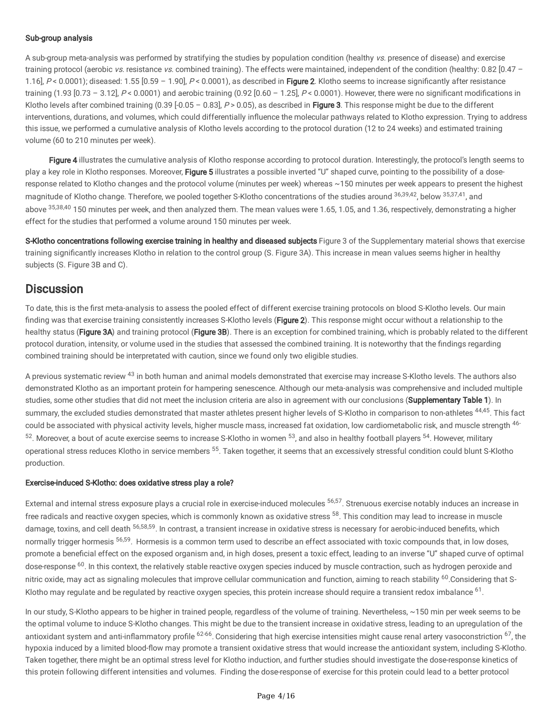#### Sub-group analysis

A sub-group meta-analysis was performed by stratifying the studies by population condition (healthy vs. presence of disease) and exercise training protocol (aerobic vs. resistance vs. combined training). The effects were maintained, independent of the condition (healthy: 0.82 [0.47 – 1.16],  $P < 0.0001$ ; diseased: 1.55  $[0.59 - 1.90]$ ,  $P < 0.0001$ ), as described in Figure 2. Klotho seems to increase significantly after resistance training (1.93  $[0.73 - 3.12]$ , P < 0.0001) and aerobic training (0.92  $[0.60 - 1.25]$ , P < 0.0001). However, there were no significant modifications in Klotho levels after combined training (0.39  $[-0.05 - 0.83]$ ,  $P > 0.05$ ), as described in Figure 3. This response might be due to the different interventions, durations, and volumes, which could differentially influence the molecular pathways related to Klotho expression. Trying to address this issue, we performed a cumulative analysis of Klotho levels according to the protocol duration (12 to 24 weeks) and estimated training volume (60 to 210 minutes per week).

Figure 4 illustrates the cumulative analysis of Klotho response according to protocol duration. Interestingly, the protocol's length seems to play a key role in Klotho responses. Moreover, Figure 5 illustrates a possible inverted "U" shaped curve, pointing to the possibility of a doseresponse related to Klotho changes and the protocol volume (minutes per week) whereas ~150 minutes per week appears to present the highest magnitude of Klotho change. Therefore, we pooled together S-Klotho concentrations of the studies around <sup>36,39,42</sup>, below <sup>35,37,41</sup>, and above <sup>35,38,40</sup> 150 minutes per week, and then analyzed them. The mean values were 1.65, 1.05, and 1.36, respectively, demonstrating a higher effect for the studies that performed a volume around 150 minutes per week.

S-Klotho concentrations following exercise training in healthy and diseased subjects Figure 3 of the Supplementary material shows that exercise training significantly increases Klotho in relation to the control group (S. Figure 3A). This increase in mean values seems higher in healthy subjects (S. Figure 3B and C).

## **Discussion**

To date, this is the first meta-analysis to assess the pooled effect of different exercise training protocols on blood S-Klotho levels. Our main finding was that exercise training consistently increases S-Klotho levels (Figure 2). This response might occur without a relationship to the healthy status (Figure 3A) and training protocol (Figure 3B). There is an exception for combined training, which is probably related to the different protocol duration, intensity, or volume used in the studies that assessed the combined training. It is noteworthy that the findings regarding combined training should be interpretated with caution, since we found only two eligible studies.

A previous systematic review <sup>43</sup> in both human and animal models demonstrated that exercise may increase S-Klotho levels. The authors also demonstrated Klotho as an important protein for hampering senescence. Although our meta-analysis was comprehensive and included multiple studies, some other studies that did not meet the inclusion criteria are also in agreement with our conclusions (Supplementary Table 1). In summary, the excluded studies demonstrated that master athletes present higher levels of S-Klotho in comparison to non-athletes <sup>44,45</sup>. This fact could be associated with physical activity levels, higher muscle mass, increased fat oxidation, low cardiometabolic risk, and muscle strength <sup>46-</sup>  $52$ . Moreover, a bout of acute exercise seems to increase S-Klotho in women  $53$ , and also in healthy football players  $54$ . However, military operational stress reduces Klotho in service members <sup>55</sup>. Taken together, it seems that an excessively stressful condition could blunt S-Klotho production.

#### Exercise-induced S-Klotho: does oxidative stress play a role?

External and internal stress exposure plays a crucial role in exercise-induced molecules <sup>56,57</sup>. Strenuous exercise notably induces an increase in free radicals and reactive oxygen species, which is commonly known as oxidative stress <sup>58</sup>. This condition may lead to increase in muscle damage, toxins, and cell death <sup>56,58,59</sup>. In contrast, a transient increase in oxidative stress is necessary for aerobic-induced benefits, which normally trigger hormesis <sup>56,59</sup>. Hormesis is a common term used to describe an effect associated with toxic compounds that, in low doses, promote a beneficial effect on the exposed organism and, in high doses, present a toxic effect, leading to an inverse "U" shaped curve of optimal dose-response <sup>60</sup>. In this context, the relatively stable reactive oxygen species induced by muscle contraction, such as hydrogen peroxide and nitric oxide, may act as signaling molecules that improve cellular communication and function, aiming to reach stability <sup>60</sup>. Considering that S-Klotho may regulate and be regulated by reactive oxygen species, this protein increase should require a transient redox imbalance  $61$ .

In our study, S-Klotho appears to be higher in trained people, regardless of the volume of training. Nevertheless, ~150 min per week seems to be the optimal volume to induce S-Klotho changes. This might be due to the transient increase in oxidative stress, leading to an upregulation of the antioxidant system and anti-inflammatory profile <sup>62-66</sup>. Considering that high exercise intensities might cause renal artery vasoconstriction <sup>67</sup>, the hypoxia induced by a limited blood-flow may promote a transient oxidative stress that would increase the antioxidant system, including S-Klotho. Taken together, there might be an optimal stress level for Klotho induction, and further studies should investigate the dose-response kinetics of this protein following different intensities and volumes. Finding the dose-response of exercise for this protein could lead to a better protocol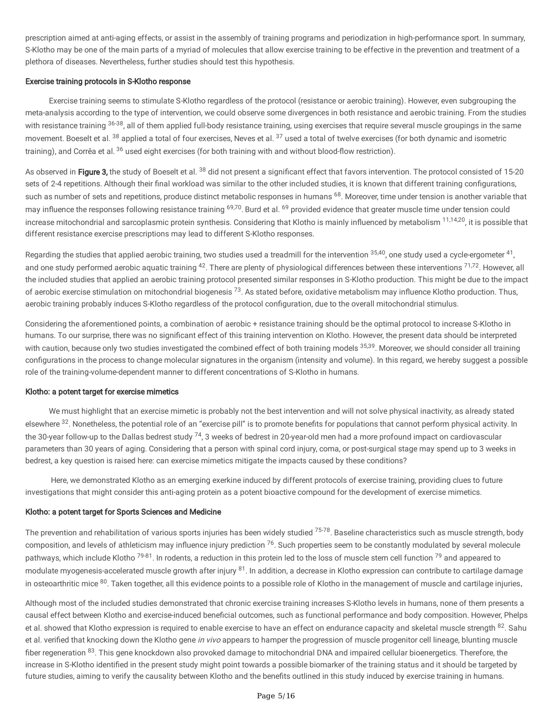prescription aimed at anti-aging effects, or assist in the assembly of training programs and periodization in high-performance sport. In summary, S-Klotho may be one of the main parts of a myriad of molecules that allow exercise training to be effective in the prevention and treatment of a plethora of diseases. Nevertheless, further studies should test this hypothesis.

#### Exercise training protocols in S-Klotho response

Exercise training seems to stimulate S-Klotho regardless of the protocol (resistance or aerobic training). However, even subgrouping the meta-analysis according to the type of intervention, we could observe some divergences in both resistance and aerobic training. From the studies with resistance training <sup>36-38</sup>, all of them applied full-body resistance training, using exercises that require several muscle groupings in the same movement. Boeselt et al. <sup>38</sup> applied a total of four exercises, Neves et al. <sup>37</sup> used a total of twelve exercises (for both dynamic and isometric training), and Corrêa et al. <sup>36</sup> used eight exercises (for both training with and without blood-flow restriction).

As observed in Figure 3, the study of Boeselt et al. 38 did not present a significant effect that favors intervention. The protocol consisted of 15-20 sets of 2-4 repetitions. Although their final workload was similar to the other included studies, it is known that different training configurations, such as number of sets and repetitions, produce distinct metabolic responses in humans <sup>68</sup>. Moreover, time under tension is another variable that may influence the responses following resistance training <sup>69,70</sup>. Burd et al. <sup>69</sup> provided evidence that greater muscle time under tension could increase mitochondrial and sarcoplasmic protein synthesis. Considering that Klotho is mainly influenced by metabolism  $^{11,14,20}$ , it is possible that different resistance exercise prescriptions may lead to different S-Klotho responses.

Regarding the studies that applied aerobic training, two studies used a treadmill for the intervention  $35,40$ , one study used a cycle-ergometer  $41$ , and one study performed aerobic aquatic training <sup>42</sup>. There are plenty of physiological differences between these interventions <sup>71,72</sup>. However, all the included studies that applied an aerobic training protocol presented similar responses in S-Klotho production. This might be due to the impact of aerobic exercise stimulation on mitochondrial biogenesis <sup>73</sup>. As stated before, oxidative metabolism may influence Klotho production. Thus, aerobic training probably induces S-Klotho regardless of the protocol configuration, due to the overall mitochondrial stimulus.

Considering the aforementioned points, a combination of aerobic + resistance training should be the optimal protocol to increase S-Klotho in humans. To our surprise, there was no significant effect of this training intervention on Klotho. However, the present data should be interpreted with caution, because only two studies investigated the combined effect of both training models <sup>35,39</sup>. Moreover, we should consider all training configurations in the process to change molecular signatures in the organism (intensity and volume). In this regard, we hereby suggest a possible role of the training-volume-dependent manner to different concentrations of S-Klotho in humans.

#### Klotho: a potent target for exercise mimetics

We must highlight that an exercise mimetic is probably not the best intervention and will not solve physical inactivity, as already stated elsewhere <sup>32</sup>. Nonetheless, the potential role of an "exercise pill" is to promote benefits for populations that cannot perform physical activity. In the 30-year follow-up to the Dallas bedrest study  $^{74}$ , 3 weeks of bedrest in 20-year-old men had a more profound impact on cardiovascular parameters than 30 years of aging. Considering that a person with spinal cord injury, coma, or post-surgical stage may spend up to 3 weeks in bedrest, a key question is raised here: can exercise mimetics mitigate the impacts caused by these conditions?

Here, we demonstrated Klotho as an emerging exerkine induced by different protocols of exercise training, providing clues to future investigations that might consider this anti-aging protein as a potent bioactive compound for the development of exercise mimetics.

#### Klotho: a potent target for Sports Sciences and Medicine

The prevention and rehabilitation of various sports injuries has been widely studied <sup>75-78</sup>. Baseline characteristics such as muscle strength, body composition, and levels of athleticism may influence injury prediction <sup>76</sup>. Such properties seem to be constantly modulated by several molecule pathways, which include Klotho <sup>79-81</sup>. In rodents, a reduction in this protein led to the loss of muscle stem cell function <sup>79</sup> and appeared to modulate myogenesis-accelerated muscle growth after injury <sup>81</sup>. In addition, a decrease in Klotho expression can contribute to cartilage damage in osteoarthritic mice <sup>80</sup>. Taken together, all this evidence points to a possible role of Klotho in the management of muscle and cartilage injuries.

Although most of the included studies demonstrated that chronic exercise training increases S-Klotho levels in humans, none of them presents a causal effect between Klotho and exercise-induced beneficial outcomes, such as functional performance and body composition. However, Phelps et al. showed that Klotho expression is required to enable exercise to have an effect on endurance capacity and skeletal muscle strength <sup>82</sup>. Sahu et al. verified that knocking down the Klotho gene in vivo appears to hamper the progression of muscle progenitor cell lineage, blunting muscle fiber regeneration <sup>83</sup>. This gene knockdown also provoked damage to mitochondrial DNA and impaired cellular bioenergetics. Therefore, the increase in S-Klotho identified in the present study might point towards a possible biomarker of the training status and it should be targeted by future studies, aiming to verify the causality between Klotho and the benefits outlined in this study induced by exercise training in humans.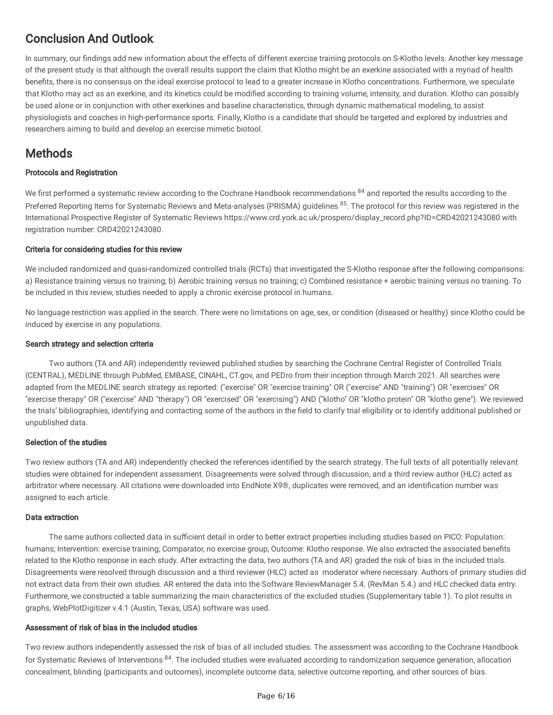# Conclusion And Outlook

In summary, our findings add new information about the effects of different exercise training protocols on S-Klotho levels. Another key message of the present study is that although the overall results support the claim that Klotho might be an exerkine associated with a myriad of health benefits, there is no consensus on the ideal exercise protocol to lead to a greater increase in Klotho concentrations. Furthermore, we speculate that Klotho may act as an exerkine, and its kinetics could be modified according to training volume, intensity, and duration. Klotho can possibly be used alone or in conjunction with other exerkines and baseline characteristics, through dynamic mathematical modeling, to assist physiologists and coaches in high-performance sports. Finally, Klotho is a candidate that should be targeted and explored by industries and researchers aiming to build and develop an exercise mimetic biotool.

# Methods

### Protocols and Registration

We first performed a systematic review according to the Cochrane Handbook recommendations <sup>84</sup> and reported the results according to the Preferred Reporting Items for Systematic Reviews and Meta-analyses (PRISMA) guidelines <sup>85</sup>. The protocol for this review was registered in the International Prospective Register of Systematic Reviews https://www.crd.york.ac.uk/prospero/display\_record.php?ID=CRD42021243080 with registration number: CRD42021243080.

### Criteria for considering studies for this review

We included randomized and quasi-randomized controlled trials (RCTs) that investigated the S-Klotho response after the following comparisons: a) Resistance training versus no training; b) Aerobic training versus no training; c) Combined resistance + aerobic training versus no training. To be included in this review, studies needed to apply a chronic exercise protocol in humans.

No language restriction was applied in the search. There were no limitations on age, sex, or condition (diseased or healthy) since Klotho could be induced by exercise in any populations.

### Search strategy and selection criteria

Two authors (TA and AR) independently reviewed published studies by searching the Cochrane Central Register of Controlled Trials (CENTRAL), MEDLINE through PubMed, EMBASE, CINAHL, CT.gov, and PEDro from their inception through March 2021. All searches were adapted from the MEDLINE search strategy as reported: ("exercise" OR "exercise training" OR ("exercise" AND "training") OR "exercises" OR "exercise therapy" OR ("exercise" AND "therapy") OR "exercised" OR "exercising") AND ("klotho" OR "klotho protein" OR "klotho gene"). We reviewed the trials' bibliographies, identifying and contacting some of the authors in the field to clarify trial eligibility or to identify additional published or unpublished data.

### Selection of the studies

Two review authors (TA and AR) independently checked the references identified by the search strategy. The full texts of all potentially relevant studies were obtained for independent assessment. Disagreements were solved through discussion, and a third review author (HLC) acted as arbitrator where necessary. All citations were downloaded into EndNote X9®, duplicates were removed, and an identification number was assigned to each article.

### Data extraction

The same authors collected data in sufficient detail in order to better extract properties including studies based on PICO: Population: humans; Intervention: exercise training; Comparator, no exercise group; Outcome: Klotho response. We also extracted the associated benefits related to the Klotho response in each study. After extracting the data, two authors (TA and AR) graded the risk of bias in the included trials. Disagreements were resolved through discussion and a third reviewer (HLC) acted as moderator where necessary. Authors of primary studies did not extract data from their own studies. AR entered the data into the Software ReviewManager 5.4. (RevMan 5.4.) and HLC checked data entry. Furthermore, we constructed a table summarizing the main characteristics of the excluded studies (Supplementary table 1). To plot results in graphs, WebPlotDigitizer v.4.1 (Austin, Texas, USA) software was used.

### Assessment of risk of bias in the included studies

Two review authors independently assessed the risk of bias of all included studies. The assessment was according to the Cochrane Handbook for Systematic Reviews of Interventions <sup>84</sup>. The included studies were evaluated according to randomization sequence generation, allocation concealment, blinding (participants and outcomes), incomplete outcome data, selective outcome reporting, and other sources of bias.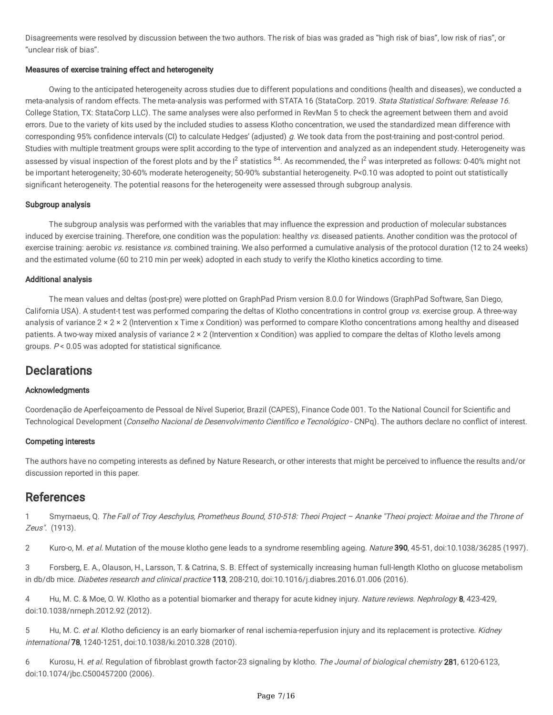Disagreements were resolved by discussion between the two authors. The risk of bias was graded as "high risk of bias", low risk of rias", or "unclear risk of bias".

### Measures of exercise training effect and heterogeneity

Owing to the anticipated heterogeneity across studies due to different populations and conditions (health and diseases), we conducted a meta-analysis of random effects. The meta-analysis was performed with STATA 16 (StataCorp. 2019. Stata Statistical Software: Release 16. College Station, TX: StataCorp LLC). The same analyses were also performed in RevMan 5 to check the agreement between them and avoid errors. Due to the variety of kits used by the included studies to assess Klotho concentration, we used the standardized mean difference with corresponding 95% confidence intervals (CI) to calculate Hedges' (adjusted) g. We took data from the post-training and post-control period. Studies with multiple treatment groups were split according to the type of intervention and analyzed as an independent study. Heterogeneity was assessed by visual inspection of the forest plots and by the  $l^2$  statistics  $^{84}$ . As recommended, the  $l^2$  was interpreted as follows: 0-40% might not be important heterogeneity; 30-60% moderate heterogeneity; 50-90% substantial heterogeneity. P<0.10 was adopted to point out statistically significant heterogeneity. The potential reasons for the heterogeneity were assessed through subgroup analysis.

#### Subgroup analysis

The subgroup analysis was performed with the variables that may influence the expression and production of molecular substances induced by exercise training. Therefore, one condition was the population: healthy vs. diseased patients. Another condition was the protocol of exercise training: aerobic vs. resistance vs. combined training. We also performed a cumulative analysis of the protocol duration (12 to 24 weeks) and the estimated volume (60 to 210 min per week) adopted in each study to verify the Klotho kinetics according to time.

#### Additional analysis

The mean values and deltas (post-pre) were plotted on GraphPad Prism version 8.0.0 for Windows (GraphPad Software, San Diego, California USA). A student-t test was performed comparing the deltas of Klotho concentrations in control group vs. exercise group. A three-way analysis of variance 2 × 2 × 2 (Intervention x Time x Condition) was performed to compare Klotho concentrations among healthy and diseased patients. A two-way mixed analysis of variance 2 × 2 (Intervention x Condition) was applied to compare the deltas of Klotho levels among groups.  $P < 0.05$  was adopted for statistical significance.

## **Declarations**

### Acknowledgments

Coordenação de Aperfeiçoamento de Pessoal de Nível Superior, Brazil (CAPES), Finance Code 001. To the National Council for Scientific and Technological Development (Conselho Nacional de Desenvolvimento Científico e Tecnológico - CNPq). The authors declare no conflict of interest.

#### Competing interests

The authors have no competing interests as defined by Nature Research, or other interests that might be perceived to influence the results and/or discussion reported in this paper.

## **References**

1 Smyrnaeus, Q. The Fall of Troy Aeschylus, Prometheus Bound, 510-518: Theoi Project – Ananke "Theoi project: Moirae and the Throne of Zeus". (1913).

2 Kuro-o, M. et al. Mutation of the mouse klotho gene leads to a syndrome resembling ageing. Nature 390, 45-51, doi:10.1038/36285 (1997).

3 Forsberg, E. A., Olauson, H., Larsson, T. & Catrina, S. B. Effect of systemically increasing human full-length Klotho on glucose metabolism in db/db mice. Diabetes research and clinical practice 113, 208-210, doi:10.1016/j.diabres.2016.01.006 (2016).

4 Hu, M. C. & Moe, O. W. Klotho as a potential biomarker and therapy for acute kidney injury. Nature reviews. Nephrology 8, 423-429, doi:10.1038/nrneph.2012.92 (2012).

5 Hu, M. C. et al. Klotho deficiency is an early biomarker of renal ischemia-reperfusion injury and its replacement is protective. Kidney international 78, 1240-1251, doi:10.1038/ki.2010.328 (2010).

6 Kurosu, H. et al. Regulation of fibroblast growth factor-23 signaling by klotho. The Journal of biological chemistry 281, 6120-6123, doi:10.1074/jbc.C500457200 (2006).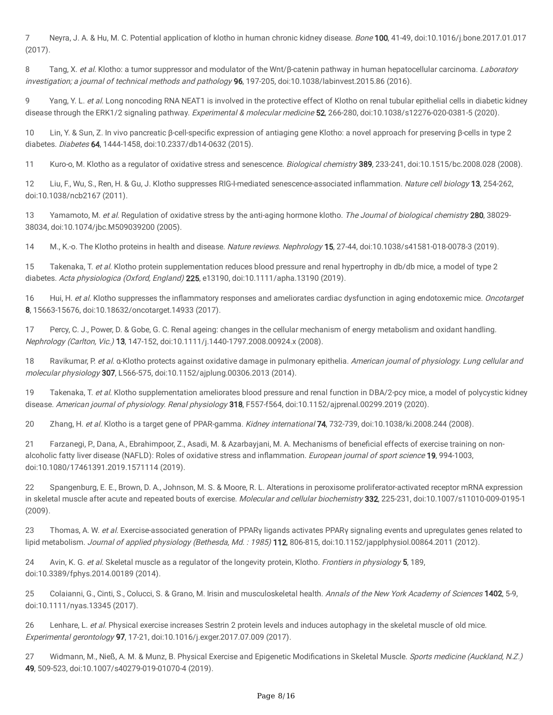7 Neyra, J. A. & Hu, M. C. Potential application of klotho in human chronic kidney disease. *Bone* 100, 41-49, doi:10.1016/j.bone.2017.01.017 (2017).

8 Tang, X. et al. Klotho: a tumor suppressor and modulator of the Wnt/β-catenin pathway in human hepatocellular carcinoma. Laboratory investigation; a journal of technical methods and pathology 96, 197-205, doi:10.1038/labinvest.2015.86 (2016).

9 Yang, Y. L. et al. Long noncoding RNA NEAT1 is involved in the protective effect of Klotho on renal tubular epithelial cells in diabetic kidney disease through the ERK1/2 signaling pathway. Experimental & molecular medicine 52, 266-280, doi:10.1038/s12276-020-0381-5 (2020).

10 Lin, Y. & Sun, Z. In vivo pancreatic β-cell-specific expression of antiaging gene Klotho: a novel approach for preserving β-cells in type 2 diabetes. Diabetes 64, 1444-1458, doi:10.2337/db14-0632 (2015).

11 Kuro-o, M. Klotho as a regulator of oxidative stress and senescence. Biological chemistry 389, 233-241, doi:10.1515/bc.2008.028 (2008).

12 Liu, F., Wu, S., Ren, H. & Gu, J. Klotho suppresses RIG-I-mediated senescence-associated inflammation. Nature cell biology 13, 254-262, doi:10.1038/ncb2167 (2011).

13 Yamamoto, M. et al. Regulation of oxidative stress by the anti-aging hormone klotho. The Journal of biological chemistry 280, 38029-38034, doi:10.1074/jbc.M509039200 (2005).

14 M., K.-o. The Klotho proteins in health and disease. Nature reviews. Nephrology 15, 27-44, doi:10.1038/s41581-018-0078-3 (2019).

15 Takenaka, T. et al. Klotho protein supplementation reduces blood pressure and renal hypertrophy in db/db mice, a model of type 2 diabetes. Acta physiologica (Oxford, England) 225, e13190, doi:10.1111/apha.13190 (2019).

16 Hui, H. et al. Klotho suppresses the inflammatory responses and ameliorates cardiac dysfunction in aging endotoxemic mice. Oncotarget 8, 15663-15676, doi:10.18632/oncotarget.14933 (2017).

17 Percy, C. J., Power, D. & Gobe, G. C. Renal ageing: changes in the cellular mechanism of energy metabolism and oxidant handling. Nephrology (Carlton, Vic.) 13, 147-152, doi:10.1111/j.1440-1797.2008.00924.x (2008).

18 Ravikumar, P. et al. α-Klotho protects against oxidative damage in pulmonary epithelia. American journal of physiology. Lung cellular and molecular physiology 307, L566-575, doi:10.1152/ajplung.00306.2013 (2014).

19 Takenaka, T. et al. Klotho supplementation ameliorates blood pressure and renal function in DBA/2-pcy mice, a model of polycystic kidney disease. American journal of physiology. Renal physiology 318, F557-f564, doi:10.1152/ajprenal.00299.2019 (2020).

20 Zhang, H. et al. Klotho is a target gene of PPAR-gamma. Kidney international 74, 732-739, doi:10.1038/ki.2008.244 (2008).

21 Farzanegi, P., Dana, A., Ebrahimpoor, Z., Asadi, M. & Azarbayjani, M. A. Mechanisms of beneficial effects of exercise training on nonalcoholic fatty liver disease (NAFLD): Roles of oxidative stress and inflammation. European journal of sport science 19, 994-1003, doi:10.1080/17461391.2019.1571114 (2019).

22 Spangenburg, E. E., Brown, D. A., Johnson, M. S. & Moore, R. L. Alterations in peroxisome proliferator-activated receptor mRNA expression in skeletal muscle after acute and repeated bouts of exercise. Molecular and cellular biochemistry 332, 225-231, doi:10.1007/s11010-009-0195-1 (2009).

23 Thomas, A. W. et al. Exercise-associated generation of PPARγ ligands activates PPARγ signaling events and upregulates genes related to lipid metabolism. Journal of applied physiology (Bethesda, Md. : 1985) 112, 806-815, doi:10.1152/japplphysiol.00864.2011 (2012).

24 Avin, K. G. et al. Skeletal muscle as a regulator of the longevity protein, Klotho. Frontiers in physiology 5, 189, doi:10.3389/fphys.2014.00189 (2014).

25 Colaianni, G., Cinti, S., Colucci, S. & Grano, M. Irisin and musculoskeletal health. Annals of the New York Academy of Sciences 1402, 5-9, doi:10.1111/nyas.13345 (2017).

26 Lenhare, L. et al. Physical exercise increases Sestrin 2 protein levels and induces autophagy in the skeletal muscle of old mice. Experimental gerontology 97, 17-21, doi:10.1016/j.exger.2017.07.009 (2017).

27 Widmann, M., Nieß, A. M. & Munz, B. Physical Exercise and Epigenetic Modifications in Skeletal Muscle. Sports medicine (Auckland, N.Z.) 49, 509-523, doi:10.1007/s40279-019-01070-4 (2019).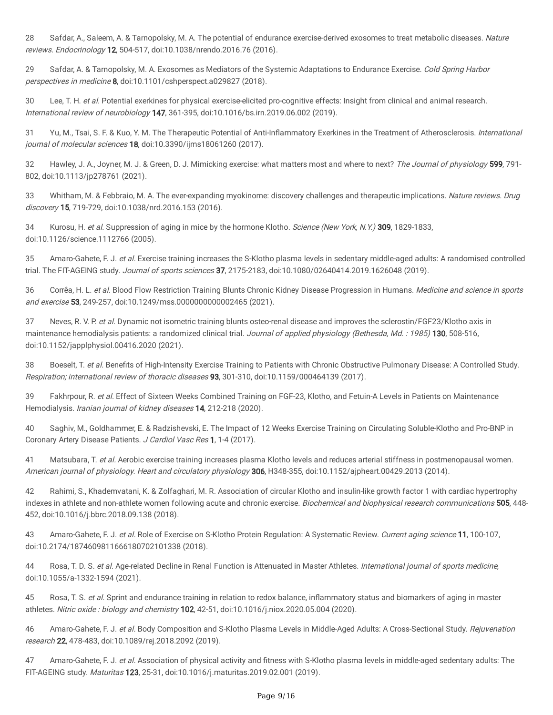28 Safdar, A., Saleem, A. & Tarnopolsky, M. A. The potential of endurance exercise-derived exosomes to treat metabolic diseases. Nature reviews. Endocrinology 12, 504-517, doi:10.1038/nrendo.2016.76 (2016).

29 Safdar, A. & Tarnopolsky, M. A. Exosomes as Mediators of the Systemic Adaptations to Endurance Exercise. Cold Spring Harbor perspectives in medicine 8, doi:10.1101/cshperspect.a029827 (2018).

30 Lee, T. H. et al. Potential exerkines for physical exercise-elicited pro-cognitive effects: Insight from clinical and animal research. International review of neurobiology 147, 361-395, doi:10.1016/bs.irn.2019.06.002 (2019).

31 Yu, M., Tsai, S. F. & Kuo, Y. M. The Therapeutic Potential of Anti-Inflammatory Exerkines in the Treatment of Atherosclerosis. International journal of molecular sciences 18, doi:10.3390/ijms18061260 (2017).

32 Hawley, J. A., Joyner, M. J. & Green, D. J. Mimicking exercise: what matters most and where to next? The Journal of physiology 599, 791-802, doi:10.1113/jp278761 (2021).

33 Whitham, M. & Febbraio, M. A. The ever-expanding myokinome: discovery challenges and therapeutic implications. Nature reviews. Drug discovery 15, 719-729, doi:10.1038/nrd.2016.153 (2016).

34 Kurosu, H. et al. Suppression of aging in mice by the hormone Klotho. Science (New York, N.Y.) 309, 1829-1833, doi:10.1126/science.1112766 (2005).

35 Amaro-Gahete, F. J. et al. Exercise training increases the S-Klotho plasma levels in sedentary middle-aged adults: A randomised controlled trial. The FIT-AGEING study. Journal of sports sciences 37, 2175-2183, doi:10.1080/02640414.2019.1626048 (2019).

36 Corrêa, H. L. et al. Blood Flow Restriction Training Blunts Chronic Kidney Disease Progression in Humans. Medicine and science in sports and exercise 53, 249-257, doi:10.1249/mss.0000000000002465 (2021).

37 Neves, R. V. P. et al. Dynamic not isometric training blunts osteo-renal disease and improves the sclerostin/FGF23/Klotho axis in maintenance hemodialysis patients: a randomized clinical trial. Journal of applied physiology (Bethesda, Md.: 1985) 130, 508-516, doi:10.1152/japplphysiol.00416.2020 (2021).

38 Boeselt, T. et al. Benefits of High-Intensity Exercise Training to Patients with Chronic Obstructive Pulmonary Disease: A Controlled Study. Respiration; international review of thoracic diseases 93, 301-310, doi:10.1159/000464139 (2017).

39 Fakhrpour, R. et al. Effect of Sixteen Weeks Combined Training on FGF-23, Klotho, and Fetuin-A Levels in Patients on Maintenance Hemodialysis. *Iranian journal of kidney diseases* **14**, 212-218 (2020).

40 Saghiv, M., Goldhammer, E. & Radzishevski, E. The Impact of 12 Weeks Exercise Training on Circulating Soluble-Klotho and Pro-BNP in Coronary Artery Disease Patients. J Cardiol Vasc Res 1, 1-4 (2017).

41 Matsubara, T. et al. Aerobic exercise training increases plasma Klotho levels and reduces arterial stiffness in postmenopausal women. American journal of physiology. Heart and circulatory physiology 306, H348-355, doi:10.1152/ajpheart.00429.2013 (2014).

42 Rahimi, S., Khademvatani, K. & Zolfaghari, M. R. Association of circular Klotho and insulin-like growth factor 1 with cardiac hypertrophy indexes in athlete and non-athlete women following acute and chronic exercise. Biochemical and biophysical research communications 505, 448-452, doi:10.1016/j.bbrc.2018.09.138 (2018).

43 Amaro-Gahete, F. J. et al. Role of Exercise on S-Klotho Protein Regulation: A Systematic Review. Current aging science 11, 100-107, doi:10.2174/1874609811666180702101338 (2018).

44 Rosa, T. D. S. et al. Age-related Decline in Renal Function is Attenuated in Master Athletes. International journal of sports medicine, doi:10.1055/a-1332-1594 (2021).

45 Rosa, T. S. et al. Sprint and endurance training in relation to redox balance, inflammatory status and biomarkers of aging in master athletes. Nitric oxide : biology and chemistry 102, 42-51, doi:10.1016/j.niox.2020.05.004 (2020).

46 Amaro-Gahete, F. J. et al. Body Composition and S-Klotho Plasma Levels in Middle-Aged Adults: A Cross-Sectional Study. Rejuvenation research 22, 478-483, doi:10.1089/rej.2018.2092 (2019).

47 Amaro-Gahete, F. J. et al. Association of physical activity and fitness with S-Klotho plasma levels in middle-aged sedentary adults: The FIT-AGEING study. Maturitas 123, 25-31, doi:10.1016/j.maturitas.2019.02.001 (2019).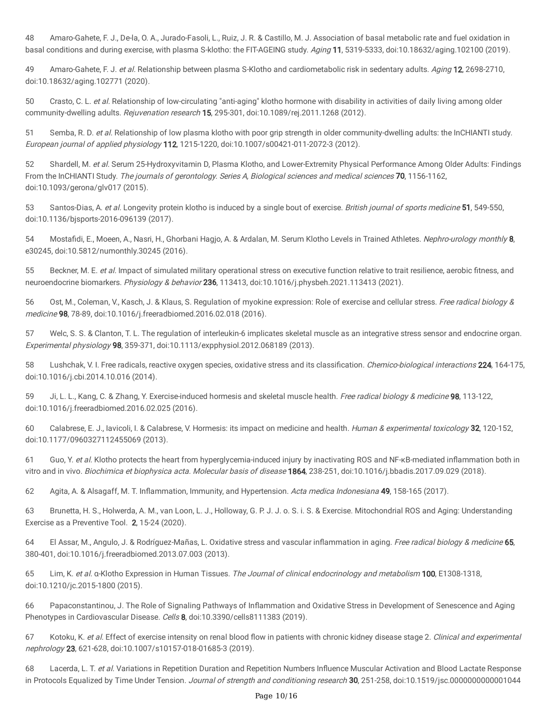48 Amaro-Gahete, F. J., De-la, O. A., Jurado-Fasoli, L., Ruiz, J. R. & Castillo, M. J. Association of basal metabolic rate and fuel oxidation in basal conditions and during exercise, with plasma S-klotho: the FIT-AGEING study. Aging 11, 5319-5333, doi:10.18632/aging.102100 (2019).

49 Amaro-Gahete, F. J. et al. Relationship between plasma S-Klotho and cardiometabolic risk in sedentary adults. Aging 12, 2698-2710, doi:10.18632/aging.102771 (2020).

50 Crasto, C. L. et al. Relationship of low-circulating "anti-aging" klotho hormone with disability in activities of daily living among older community-dwelling adults. Rejuvenation research 15, 295-301, doi:10.1089/rej.2011.1268 (2012).

51 Semba, R. D. et al. Relationship of low plasma klotho with poor grip strength in older community-dwelling adults: the InCHIANTI study. European journal of applied physiology 112, 1215-1220, doi:10.1007/s00421-011-2072-3 (2012).

52 Shardell, M. et al. Serum 25-Hydroxyvitamin D, Plasma Klotho, and Lower-Extremity Physical Performance Among Older Adults: Findings From the InCHIANTI Study. The journals of gerontology. Series A, Biological sciences and medical sciences 70, 1156-1162, doi:10.1093/gerona/glv017 (2015).

53 Santos-Dias, A. et al. Longevity protein klotho is induced by a single bout of exercise. British journal of sports medicine 51, 549-550, doi:10.1136/bjsports-2016-096139 (2017).

54 Mostafidi, E., Moeen, A., Nasri, H., Ghorbani Hagjo, A. & Ardalan, M. Serum Klotho Levels in Trained Athletes. Nephro-urology monthly 8, e30245, doi:10.5812/numonthly.30245 (2016).

55 Beckner, M. E. et al. Impact of simulated military operational stress on executive function relative to trait resilience, aerobic fitness, and neuroendocrine biomarkers. Physiology & behavior 236, 113413, doi:10.1016/j.physbeh.2021.113413 (2021).

56 Ost, M., Coleman, V., Kasch, J. & Klaus, S. Regulation of myokine expression: Role of exercise and cellular stress. Free radical biology & medicine 98, 78-89, doi:10.1016/j.freeradbiomed.2016.02.018 (2016).

57 Welc, S. S. & Clanton, T. L. The regulation of interleukin-6 implicates skeletal muscle as an integrative stress sensor and endocrine organ. Experimental physiology 98, 359-371, doi:10.1113/expphysiol.2012.068189 (2013).

58 Lushchak, V. I. Free radicals, reactive oxygen species, oxidative stress and its classification. Chemico-biological interactions 224, 164-175, doi:10.1016/j.cbi.2014.10.016 (2014).

59 Ji, L. L., Kang, C. & Zhang, Y. Exercise-induced hormesis and skeletal muscle health. Free radical biology & medicine 98, 113-122, doi:10.1016/j.freeradbiomed.2016.02.025 (2016).

60 Calabrese, E. J., lavicoli, I. & Calabrese, V. Hormesis: its impact on medicine and health. *Human & experimental toxicology* 32, 120-152, doi:10.1177/0960327112455069 (2013).

61 Guo, Y. et al. Klotho protects the heart from hyperglycemia-induced injury by inactivating ROS and NF-κB-mediated inflammation both in vitro and in vivo. Biochimica et biophysica acta. Molecular basis of disease 1864, 238-251, doi:10.1016/j.bbadis.2017.09.029 (2018).

62 Agita, A. & Alsagaff, M. T. Inflammation, Immunity, and Hypertension. Acta medica Indonesiana 49, 158-165 (2017).

63 Brunetta, H. S., Holwerda, A. M., van Loon, L. J., Holloway, G. P. J. J. o. S. i. S. & Exercise. Mitochondrial ROS and Aging: Understanding Exercise as a Preventive Tool. 2, 15-24 (2020).

64 El Assar, M., Angulo, J. & Rodríguez-Mañas, L. Oxidative stress and vascular inflammation in aging. Free radical biology & medicine 65, 380-401, doi:10.1016/j.freeradbiomed.2013.07.003 (2013).

65 Lim, K. et al. α-Klotho Expression in Human Tissues. The Journal of clinical endocrinology and metabolism 100, E1308-1318, doi:10.1210/jc.2015-1800 (2015).

66 Papaconstantinou, J. The Role of Signaling Pathways of Inflammation and Oxidative Stress in Development of Senescence and Aging Phenotypes in Cardiovascular Disease. Cells 8, doi:10.3390/cells8111383 (2019).

67 Kotoku, K. et al. Effect of exercise intensity on renal blood flow in patients with chronic kidney disease stage 2. Clinical and experimental nephrology 23, 621-628, doi:10.1007/s10157-018-01685-3 (2019).

68 Lacerda, L. T. et al. Variations in Repetition Duration and Repetition Numbers Influence Muscular Activation and Blood Lactate Response in Protocols Equalized by Time Under Tension. Journal of strength and conditioning research 30, 251-258, doi:10.1519/jsc.0000000000001044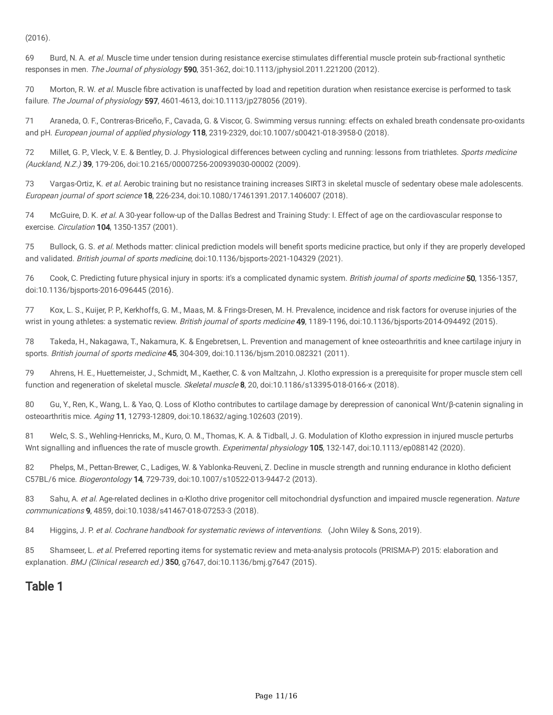(2016).

69 Burd, N. A. et al. Muscle time under tension during resistance exercise stimulates differential muscle protein sub-fractional synthetic responses in men. The Journal of physiology 590, 351-362, doi:10.1113/jphysiol.2011.221200 (2012).

70 Morton, R. W. et al. Muscle fibre activation is unaffected by load and repetition duration when resistance exercise is performed to task failure. The Journal of physiology 597, 4601-4613, doi:10.1113/jp278056 (2019).

71 Araneda, O. F., Contreras-Briceño, F., Cavada, G. & Viscor, G. Swimming versus running: effects on exhaled breath condensate pro-oxidants and pH. European journal of applied physiology 118, 2319-2329, doi:10.1007/s00421-018-3958-0 (2018).

72 Millet, G. P., Vleck, V. E. & Bentley, D. J. Physiological differences between cycling and running: lessons from triathletes. Sports medicine (Auckland, N.Z.) 39, 179-206, doi:10.2165/00007256-200939030-00002 (2009).

73 Vargas-Ortiz, K. et al. Aerobic training but no resistance training increases SIRT3 in skeletal muscle of sedentary obese male adolescents. European journal of sport science 18, 226-234, doi:10.1080/17461391.2017.1406007 (2018).

74 McGuire, D. K. et al. A 30-year follow-up of the Dallas Bedrest and Training Study: I. Effect of age on the cardiovascular response to exercise. *Circulation* **104**, 1350-1357 (2001).

75 Bullock, G. S. et al. Methods matter: clinical prediction models will benefit sports medicine practice, but only if they are properly developed and validated. British journal of sports medicine, doi:10.1136/bjsports-2021-104329 (2021).

76 Cook, C. Predicting future physical injury in sports: it's a complicated dynamic system. British journal of sports medicine 50, 1356-1357, doi:10.1136/bjsports-2016-096445 (2016).

77 Kox, L. S., Kuijer, P. P., Kerkhoffs, G. M., Maas, M. & Frings-Dresen, M. H. Prevalence, incidence and risk factors for overuse injuries of the wrist in young athletes: a systematic review. British journal of sports medicine 49, 1189-1196, doi:10.1136/bjsports-2014-094492 (2015).

78 Takeda, H., Nakagawa, T., Nakamura, K. & Engebretsen, L. Prevention and management of knee osteoarthritis and knee cartilage injury in sports. British journal of sports medicine 45, 304-309, doi:10.1136/bjsm.2010.082321 (2011).

79 Ahrens, H. E., Huettemeister, J., Schmidt, M., Kaether, C. & von Maltzahn, J. Klotho expression is a prerequisite for proper muscle stem cell function and regeneration of skeletal muscle. Skeletal muscle 8, 20, doi:10.1186/s13395-018-0166-x (2018).

80 Gu, Y., Ren, K., Wang, L. & Yao, Q. Loss of Klotho contributes to cartilage damage by derepression of canonical Wnt/β-catenin signaling in osteoarthritis mice. Aging 11, 12793-12809, doi:10.18632/aging.102603 (2019).

81 Welc, S. S., Wehling-Henricks, M., Kuro, O. M., Thomas, K. A. & Tidball, J. G. Modulation of Klotho expression in injured muscle perturbs Wnt signalling and influences the rate of muscle growth. Experimental physiology 105, 132-147, doi:10.1113/ep088142 (2020).

82 Phelps, M., Pettan-Brewer, C., Ladiges, W. & Yablonka-Reuveni, Z. Decline in muscle strength and running endurance in klotho deficient C57BL/6 mice. Biogerontology 14, 729-739, doi:10.1007/s10522-013-9447-2 (2013).

83 Sahu, A. et al. Age-related declines in α-Klotho drive progenitor cell mitochondrial dysfunction and impaired muscle regeneration. Nature communications 9, 4859, doi:10.1038/s41467-018-07253-3 (2018).

84 Higgins, J. P. et al. Cochrane handbook for systematic reviews of interventions. (John Wiley & Sons, 2019).

85 Shamseer, L. et al. Preferred reporting items for systematic review and meta-analysis protocols (PRISMA-P) 2015: elaboration and explanation. BMJ (Clinical research ed.) 350, g7647, doi:10.1136/bmj.g7647 (2015).

# Table 1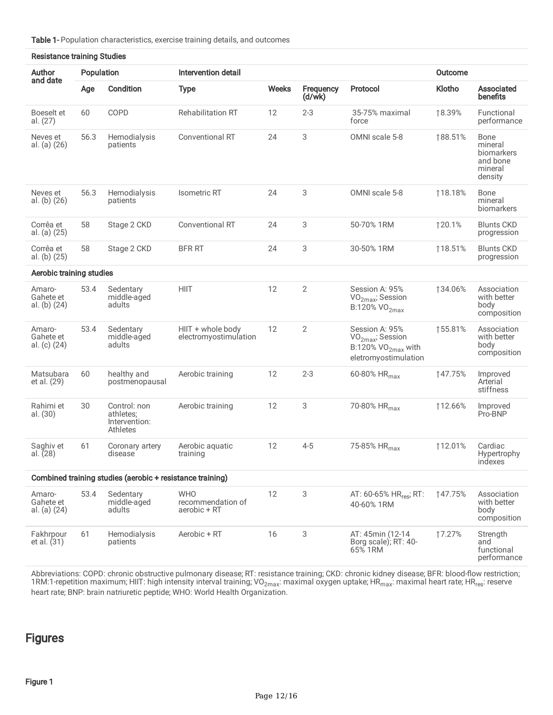Table 1- Population characteristics, exercise training details, and outcomes

| <b>Resistance training Studies</b>                        |            |                                                        |                                                 |              |                     |                                                                                                |                |                                                                 |  |  |
|-----------------------------------------------------------|------------|--------------------------------------------------------|-------------------------------------------------|--------------|---------------------|------------------------------------------------------------------------------------------------|----------------|-----------------------------------------------------------------|--|--|
| Author                                                    | Population |                                                        | Intervention detail                             |              |                     |                                                                                                | <b>Outcome</b> |                                                                 |  |  |
| and date                                                  | Age        | Condition                                              | <b>Type</b>                                     | <b>Weeks</b> | Frequency<br>(d/wk) | Protocol                                                                                       | Klotho         | Associated<br>benefits                                          |  |  |
| Boeselt et<br>al. (27)                                    | 60         | COPD                                                   | <b>Rehabilitation RT</b>                        | 12           | $2 - 3$             | 35-75% maximal<br>force                                                                        | ↑8.39%         | Functional<br>performance                                       |  |  |
| Neves et<br>al. (a) (26)                                  | 56.3       | Hemodialysis<br>patients                               | <b>Conventional RT</b>                          | 24           | 3                   | OMNI scale 5-8                                                                                 | ↑88.51%        | Bone<br>mineral<br>biomarkers<br>and bone<br>mineral<br>density |  |  |
| Neves et<br>al. (b) (26)                                  | 56.3       | Hemodialysis<br>patients                               | <b>Isometric RT</b>                             | 24           | 3                   | OMNI scale 5-8                                                                                 | ↑18.18%        | Bone<br>mineral<br>biomarkers                                   |  |  |
| Corrêa et<br>al. (a) (25)                                 | 58         | Stage 2 CKD                                            | <b>Conventional RT</b>                          | 24           | 3                   | 50-70% 1RM                                                                                     | 120.1%         | <b>Blunts CKD</b><br>progression                                |  |  |
| Corrêa et<br>al. (b) (25)                                 | 58         | Stage 2 CKD                                            | <b>BFR RT</b>                                   | 24           | 3                   | 30-50% 1RM                                                                                     | ↑18.51%        | <b>Blunts CKD</b><br>progression                                |  |  |
| Aerobic training studies                                  |            |                                                        |                                                 |              |                     |                                                                                                |                |                                                                 |  |  |
| Amaro-<br>Gahete et<br>al. (b) (24)                       | 53.4       | Sedentary<br>middle-aged<br>adults                     | <b>HIIT</b>                                     | 12           | $\overline{2}$      | Session A: 95%<br>VO <sub>2max</sub> ; Session<br>B:120% VO <sub>2max</sub>                    | 134.06%        | Association<br>with better<br>body<br>composition               |  |  |
| Amaro-<br>Gahete et<br>al. (c) (24)                       | 53.4       | Sedentary<br>middle-aged<br>adults                     | HIIT + whole body<br>electromyostimulation      | 12           | $\overline{2}$      | Session A: 95%<br>$VO2max$ ; Session<br>B:120% VO <sub>2max</sub> with<br>eletromyostimulation | ↑55.81%        | Association<br>with better<br>body<br>composition               |  |  |
| Matsubara<br>et al. (29)                                  | 60         | healthy and<br>postmenopausal                          | Aerobic training                                | 12           | $2 - 3$             | 60-80% HR <sub>max</sub>                                                                       | 147.75%        | Improved<br>Arterial<br>stiffness                               |  |  |
| Rahimi et<br>al. (30)                                     | 30         | Control: non<br>athletes;<br>Intervention:<br>Athletes | Aerobic training                                | 12           | 3                   | 70-80% HR <sub>max</sub>                                                                       | ↑12.66%        | Improved<br>Pro-BNP                                             |  |  |
| Saghiv et<br>al. $(28)$                                   | 61         | Coronary artery<br>disease                             | Aerobic aquatic<br>training                     | 12           | $4 - 5$             | 75-85% HR <sub>max</sub>                                                                       | ↑12.01%        | Cardiac<br>Hypertrophy<br>indexes                               |  |  |
| Combined training studies (aerobic + resistance training) |            |                                                        |                                                 |              |                     |                                                                                                |                |                                                                 |  |  |
| Amaro-<br>Gahete et<br>al. (a) (24)                       | 53.4       | Sedentary<br>middle-aged<br>adults                     | <b>WHO</b><br>recommendation of<br>aerobic + RT | 12           | 3                   | AT: 60-65% HR <sub>res</sub> ; RT:<br>40-60% 1RM                                               | 147.75%        | Association<br>with better<br>body<br>composition               |  |  |
| Fakhrpour<br>et al. (31)                                  | 61         | Hemodialysis<br>patients                               | Aerobic + RT                                    | 16           | 3                   | AT: 45min (12-14)<br>Borg scale); RT: 40-<br>65% 1RM                                           | 17.27%         | Strength<br>and<br>functional<br>performance                    |  |  |

Abbreviations: COPD: chronic obstructive pulmonary disease; RT: resistance training; CKD: chronic kidney disease; BFR: blood-flow restriction; 1RM:1-repetition maximum; HIIT: high intensity interval training; VO<sub>2max</sub>: maximal oxygen uptake; HR<sub>max</sub>: maximal heart rate; HR<sub>res</sub>: reserve heart rate; BNP: brain natriuretic peptide; WHO: World Health Organization.

# Figures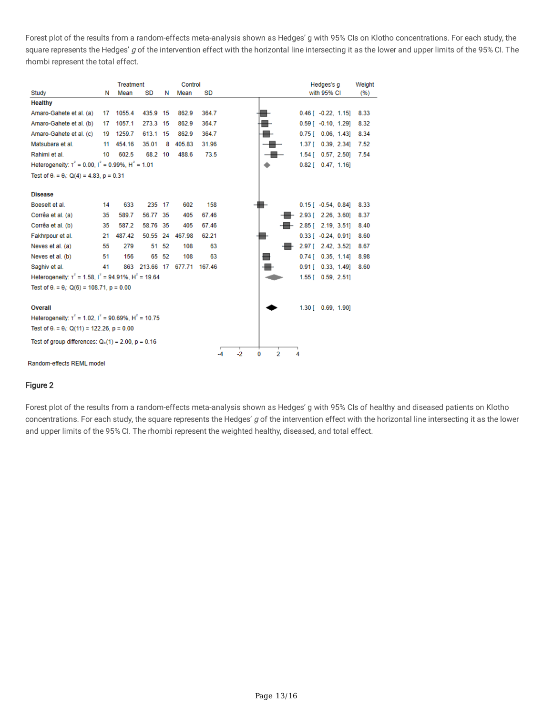Forest plot of the results from a random-effects meta-analysis shown as Hedges' g with 95% CIs on Klotho concentrations. For each study, the square represents the Hedges' g of the intervention effect with the horizontal line intersecting it as the lower and upper limits of the 95% CI. The rhombi represent the total effect.

|                                                               |    | <b>Treatment</b> |                      |       | Control   |        |      |                     |   | Hedges's g                  | Weight |
|---------------------------------------------------------------|----|------------------|----------------------|-------|-----------|--------|------|---------------------|---|-----------------------------|--------|
| Study                                                         | Ν  | Mean             | SD                   | Ν     | Mean      | SD     |      |                     |   | with 95% CI                 | (%)    |
| <b>Healthy</b>                                                |    |                  |                      |       |           |        |      |                     |   |                             |        |
| Amaro-Gahete et al. (a)                                       | 17 | 1055.4           | 435.9 15             |       | 862.9     | 364.7  |      |                     |   | $0.46$ [ $-0.22$ , 1.15]    | 8.33   |
| Amaro-Gahete et al. (b)                                       | 17 | 1057.1           | 273.3 15             |       | 862.9     | 364.7  |      |                     |   | $0.59$ [ $-0.10$ , 1.29]    | 8.32   |
| Amaro-Gahete et al. (c)                                       | 19 | 1259.7           | 613.1                | 15    | 862.9     | 364.7  |      |                     |   | $0.75$ [ $0.06$ , 1.43]     | 8.34   |
| Matsubara et al.                                              | 11 | 454.16           | 35.01                | 8     | 405.83    | 31.96  |      |                     |   | $1.37$ [ 0.39, 2.34]        | 7.52   |
| Rahimi et al.                                                 | 10 | 602.5            | 68.2 10              |       | 488.6     | 73.5   |      |                     |   | $1.54$ [ 0.57, 2.50]        | 7.54   |
| Heterogeneity: $t^2 = 0.00$ , $t^2 = 0.99\%$ , $H^2 = 1.01$   |    |                  |                      |       |           |        |      |                     |   | $0.82$ [ $0.47$ , 1.16]     |        |
| Test of $\theta_1 = \theta_1$ : Q(4) = 4.83, p = 0.31         |    |                  |                      |       |           |        |      |                     |   |                             |        |
|                                                               |    |                  |                      |       |           |        |      |                     |   |                             |        |
| <b>Disease</b>                                                |    |                  |                      |       |           |        |      |                     |   |                             |        |
| Boeselt et al.                                                | 14 | 633              | 235 17               |       | 602       | 158    |      |                     |   | $0.15$ [ $-0.54$ , $0.84$ ] | 8.33   |
| Corrêa et al. (a)                                             | 35 | 589.7            | 56.77                | -35   | 405       | 67.46  |      |                     |   | 2.93 [ 2.26, 3.60]          | 8.37   |
| Corrêa et al. (b)                                             | 35 | 587.2            | 58.76 35             |       | 405       | 67.46  |      |                     |   | 2.85 [ 2.19, 3.51]          | 8.40   |
| Fakhrpour et al.                                              | 21 | 487.42           | 50.55                |       | 24 467.98 | 62.21  |      |                     |   | $0.33$ [ $-0.24$ , 0.91]    | 8.60   |
| Neves et al. (a)                                              | 55 | 279              | 51                   | 52    | 108       | 63     |      |                     |   | 2.97 [ 2.42, 3.52]          | 8.67   |
| Neves et al. (b)                                              | 51 | 156              |                      | 65 52 | 108       | 63     |      | ▅                   |   | $0.74$ [ 0.35, 1.14]        | 8.98   |
| Saghiv et al.                                                 | 41 |                  | 863 213.66 17 677.71 |       |           | 167.46 |      |                     |   | $0.91$ [ $0.33$ , 1.49]     | 8.60   |
| Heterogeneity: $t^2 = 1.58$ , $t^2 = 94.91\%$ , $H^2 = 19.64$ |    |                  |                      |       |           |        |      |                     |   | $1.55$ [ 0.59, 2.51]        |        |
| Test of $\theta_1 = \theta_1$ : Q(6) = 108.71, p = 0.00       |    |                  |                      |       |           |        |      |                     |   |                             |        |
|                                                               |    |                  |                      |       |           |        |      |                     |   |                             |        |
| Overall                                                       |    |                  |                      |       |           |        |      |                     |   | $1.30$ [ 0.69, 1.90]        |        |
| Heterogeneity: $t^2 = 1.02$ . $t^2 = 90.69\%$ . $H^2 = 10.75$ |    |                  |                      |       |           |        |      |                     |   |                             |        |
| Test of $\theta_1 = \theta_1$ : Q(11) = 122.26, p = 0.00      |    |                  |                      |       |           |        |      |                     |   |                             |        |
| Test of group differences: $Q_b(1) = 2.00$ , $p = 0.16$       |    |                  |                      |       |           |        |      |                     |   |                             |        |
|                                                               |    |                  |                      |       |           | -4     | $-2$ | $\overline{2}$<br>0 | 4 |                             |        |

#### Random-effects REML model

#### Figure 2

Forest plot of the results from a random-effects meta-analysis shown as Hedges' g with 95% CIs of healthy and diseased patients on Klotho concentrations. For each study, the square represents the Hedges' g of the intervention effect with the horizontal line intersecting it as the lower and upper limits of the 95% CI. The rhombi represent the weighted healthy, diseased, and total effect.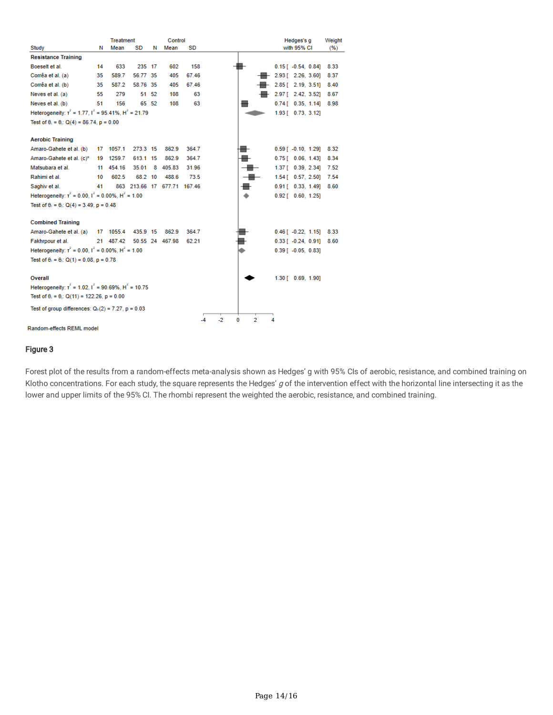| Study                                                                | Ν   | <b>Treatment</b><br>Mean | SD       | Ν     | Control<br>Mean             | SD    |    |        |   | Hedges's g<br>with 95% CI   | Weight<br>(%) |
|----------------------------------------------------------------------|-----|--------------------------|----------|-------|-----------------------------|-------|----|--------|---|-----------------------------|---------------|
| <b>Resistance Training</b>                                           |     |                          |          |       |                             |       |    |        |   |                             |               |
| Boeselt et al.                                                       | 14  | 633                      | 235 17   |       | 602                         | 158   |    |        |   | $0.15$ [ $-0.54$ , $0.84$ ] | 8.33          |
| Corrêa et al. (a)                                                    | 35  | 589.7                    | 56.77 35 |       | 405                         | 67.46 |    |        |   | 2.93 [ 2.26, 3.60]          | 8.37          |
| Corrêa et al. (b)                                                    | 35. | 587.2                    | 58.76 35 |       | 405                         | 67.46 |    |        |   | 2.85 [ 2.19, 3.51]          | 8.40          |
| Neves et al. (a)                                                     | 55  | 279                      |          | 51 52 | 108                         | 63    |    |        |   | 2.97 [ 2.42, 3.52]          | 8.67          |
| Neves et al. (b)                                                     | 51  | 156                      |          | 65 52 | 108                         | 63    |    |        |   | $0.74$ [ 0.35, 1.14]        | 8.98          |
| Heterogeneity: $t^2 = 1.77$ , $t^2 = 95.41\%$ , $H^2 = 21.79$        |     |                          |          |       |                             |       |    |        |   | 1.93 [ 0.73, 3.12]          |               |
| Test of $\theta_1 = \theta_1$ : Q(4) = 86.74, p = 0.00               |     |                          |          |       |                             |       |    |        |   |                             |               |
|                                                                      |     |                          |          |       |                             |       |    |        |   |                             |               |
| <b>Aerobic Training</b>                                              |     |                          |          |       |                             |       |    |        |   |                             |               |
| Amaro-Gahete et al. (b)                                              | 17  | 1057.1                   | 273.3 15 |       | 862.9                       | 364.7 |    |        |   | $0.59$ [ $-0.10$ , $1.29$ ] | 8.32          |
| Amaro-Gahete et al. (c)*                                             | 19  | 1259.7                   | 613.1 15 |       | 862.9                       | 364.7 |    |        |   | $0.75$ [ $0.06$ , 1.43]     | 8.34          |
| Matsubara et al.                                                     | 11  | 454.16                   | 35.01    | 8     | 405.83                      | 31.96 |    |        |   | 1.37 [ 0.39, 2.34]          | 7.52          |
| Rahimi et al.                                                        | 10  | 602.5                    | 68.2 10  |       | 488.6                       | 73.5  |    |        |   | $1.54$ [ 0.57, 2.50]        | 7.54          |
| Saghiv et al.                                                        | 41  |                          |          |       | 863 213.66 17 677.71 167.46 |       |    | ٠      |   | $0.91$ [ $0.33$ , 1.49]     | 8.60          |
| Heterogeneity: $t^2 = 0.00$ . $t^2 = 0.00\%$ . H <sup>2</sup> = 1.00 |     |                          |          |       |                             |       |    |        |   | $0.92$ [ $0.60$ , 1.25]     |               |
| Test of $\theta_1 = \theta_1$ ; Q(4) = 3.49, p = 0.48                |     |                          |          |       |                             |       |    |        |   |                             |               |
|                                                                      |     |                          |          |       |                             |       |    |        |   |                             |               |
| <b>Combined Training</b>                                             |     |                          |          |       |                             |       |    |        |   |                             |               |
| Amaro-Gahete et al. (a)                                              |     | 17 1055.4                | 435.9 15 |       | 862.9                       | 364.7 |    |        |   | $0.46$ [ $-0.22$ , 1.15]    | 8.33          |
| Fakhrpour et al.                                                     |     | 21 487.42                |          |       | 50.55 24 467.98             | 62.21 |    |        |   | $0.33$ [ $-0.24$ , $0.91$ ] | 8.60          |
| Heterogeneity: $t^2 = 0.00$ , $t^2 = 0.00\%$ , $H^2 = 1.00$          |     |                          |          |       |                             |       |    |        |   | $0.39$ [ $-0.05$ , $0.83$ ] |               |
| Test of $\theta_1 = \theta_1$ : Q(1) = 0.08, p = 0.78                |     |                          |          |       |                             |       |    |        |   |                             |               |
|                                                                      |     |                          |          |       |                             |       |    |        |   |                             |               |
| Overall                                                              |     |                          |          |       |                             |       |    |        |   | 1.30 [ 0.69, 1.90]          |               |
| Heterogeneity: $\tau^2$ = 1.02, $I^2$ = 90.69%, $H^2$ = 10.75        |     |                          |          |       |                             |       |    |        |   |                             |               |
| Test of $\theta_1 = \theta_1$ : Q(11) = 122.26, p = 0.00             |     |                          |          |       |                             |       |    |        |   |                             |               |
| Test of group differences: $Q_b(2) = 7.27$ , $p = 0.03$              |     |                          |          |       |                             |       |    |        |   |                             |               |
|                                                                      |     |                          |          |       |                             | -4    | -2 | 2<br>0 | 4 |                             |               |
|                                                                      |     |                          |          |       |                             |       |    |        |   |                             |               |

Random-effects REML model

#### Figure 3

Forest plot of the results from a random-effects meta-analysis shown as Hedges' g with 95% CIs of aerobic, resistance, and combined training on Klotho concentrations. For each study, the square represents the Hedges'  $g$  of the intervention effect with the horizontal line intersecting it as the lower and upper limits of the 95% CI. The rhombi represent the weighted the aerobic, resistance, and combined training.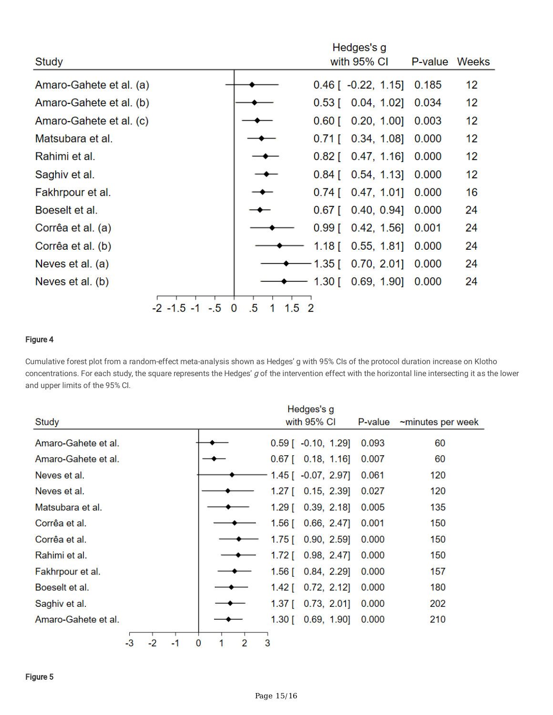|                         |                   | Hedges's g |               |                          |         |       |
|-------------------------|-------------------|------------|---------------|--------------------------|---------|-------|
| Study                   |                   |            |               | with 95% CI              | P-value | Weeks |
| Amaro-Gahete et al. (a) |                   |            |               | $0.46$ [ $-0.22$ , 1.15] | 0.185   | 12    |
| Amaro-Gahete et al. (b) |                   |            |               | $0.53$ [ $0.04$ , 1.02]  | 0.034   | 12    |
| Amaro-Gahete et al. (c) |                   |            |               | $0.60$ [ $0.20, 1.00$ ]  | 0.003   | 12    |
| Matsubara et al.        |                   |            | $0.71$ [      | $0.34, 1.08$ ]           | 0.000   | 12    |
| Rahimi et al.           |                   |            |               | $0.82$ [ $0.47, 1.16$ ]  | 0.000   | 12    |
| Saghiv et al.           |                   |            | $0.84$ [      | 0.54, 1.13               | 0.000   | 12    |
| Fakhrpour et al.        |                   |            | $0.74$ [      | 0.47, 1.01               | 0.000   | 16    |
| Boeselt et al.          |                   |            | $0.67$ [      | 0.40, 0.94]              | 0.000   | 24    |
| Corrêa et al. (a)       |                   |            | $0.99$ [      | $0.42, 1.56$ ]           | 0.001   | 24    |
| Corrêa et al. (b)       |                   |            | 1.18 $\lceil$ | 0.55, 1.81               | 0.000   | 24    |
| Neves et al. (a)        |                   |            | 1.35 $\Gamma$ | 0.70, 2.01               | 0.000   | 24    |
| Neves et al. (b)        |                   |            |               | $1.30$ [ 0.69, 1.90]     | 0.000   | 24    |
| $-2 - 1.5 - 1$          | $-.5$<br>$\bf{0}$ | .5<br>1.5  | -2            |                          |         |       |

## Figure 4

Cumulative forest plot from a random-effect meta-analysis shown as Hedges' g with 95% CIs of the protocol duration increase on Klotho concentrations. For each study, the square represents the Hedges' g of the intervention effect with the horizontal line intersecting it as the lower and upper limits of the 95% CI.

|                     |        | Hedges's g                      |         |                   |
|---------------------|--------|---------------------------------|---------|-------------------|
| Study               |        | with 95% CI                     | P-value | ~minutes per week |
| Amaro-Gahete et al. |        | $0.59$ [ $-0.10$ , 1.29]        | 0.093   | 60                |
| Amaro-Gahete et al. |        | $0.67$ [ $0.18$ , 1.16]         | 0.007   | 60                |
| Neves et al.        |        | $1.45$ [ $-0.07$ , 2.97]        | 0.061   | 120               |
| Neves et al.        |        | 1.27 $\Gamma$<br>0.15, 2.39     | 0.027   | 120               |
| Matsubara et al.    |        | $1.29$ [ 0.39, 2.18]            | 0.005   | 135               |
| Corrêa et al.       |        | 1.56 [<br>$0.66, 2.47$ ]        | 0.001   | 150               |
| Corrêa et al.       |        | $1.75$ [ 0.90, 2.59]            | 0.000   | 150               |
| Rahimi et al.       |        | 0.98, 2.47<br>1.72 $\Gamma$     | 0.000   | 150               |
| Fakhrpour et al.    |        | $0.84, 2.29$ ]<br>1.56 $\lceil$ | 0.000   | 157               |
| Boeselt et al.      |        | 0.72, 2.12]<br>1.42 [           | 0.000   | 180               |
| Saghiv et al.       |        | 0.73, 2.01<br>1.37 [            | 0.000   | 202               |
| Amaro-Gahete et al. |        | $1.30$ [ 0.69, 1.90]            | 0.000   | 210               |
| $-2$<br>-3<br>-1    | 2<br>0 | 3                               |         |                   |